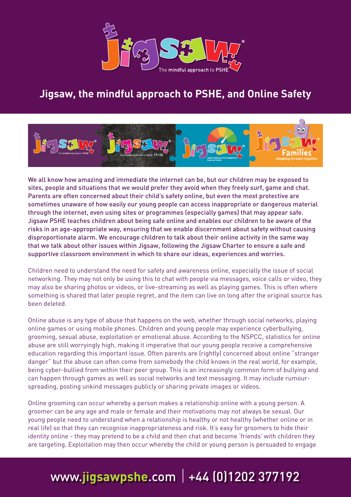

#### **Jigsaw, the mindful approach to PSHE, and Online Safety**



We all know how amazing and immediate the internet can be, but our children may be exposed to sites, people and situations that we would prefer they avoid when they freely surf, game and chat. Parents are often concerned about their child's safety online, but even the most protective are sometimes unaware of how easily our young people can access inappropriate or dangerous material through the internet, even using sites or programmes (especially games) that may appear safe. Jigsaw PSHE teaches children about being safe online and enables our children to be aware of the risks in an age-appropriate way, ensuring that we enable discernment about safety without causing disproportionate alarm. We encourage children to talk about their online activity in the same way that we talk about other issues within Jigsaw, following the Jigsaw Charter to ensure a safe and supportive classroom environment in which to share our ideas, experiences and worries.

Children need to understand the need for safety and awareness online, especially the issue of social networking. They may not only be using this to chat with people via messages, voice calls or video, they may also be sharing photos or videos, or live-streaming as well as playing games. This is often where something is shared that later people regret, and the item can live on long after the original source has been deleted.

Online abuse is any type of abuse that happens on the web, whether through social networks, playing online games or using mobile phones. Children and young people may experience cyberbullying, grooming, sexual abuse, exploitation or emotional abuse. According to the NSPCC, statistics for online abuse are still worryingly high, making it imperative that our young people receive a comprehensive education regarding this important issue. Often parents are (rightly) concerned about online "stranger danger" but the abuse can often come from somebody the child knows in the real world, for example, being cyber-bullied from within their peer group. This is an increasingly common form of bullying and can happen through games as well as social networks and text messaging. It may include rumourspreading, posting unkind messages publicly or sharing private images or videos.

Online grooming can occur whereby a person makes a relationship online with a young person. A groomer can be any age and male or female and their motivations may not always be sexual. Our young people need to understand when a relationship is healthy or not healthy (whether online or in real life) so that they can recognise inappropriateness and risk. It's easy for groomers to hide their identity online - they may pretend to be a child and then chat and become 'friends' with children they are targeting. Exploitation may then occur whereby the child or young person is persuaded to engage

#### www.**jigsawpshe**.com +44 (0)1202 377192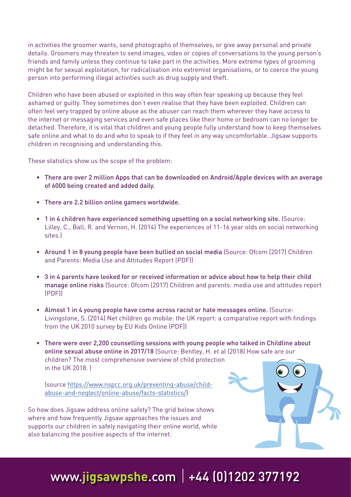in activities the groomer wants, send photographs of themselves, or give away personal and private details. Groomers may threaten to send images, video or copies of conversations to the young person's friends and family unless they continue to take part in the activities. More extreme types of grooming might be for sexual exploitation, for radicalisation into extremist organisations, or to coerce the young person into performing illegal activities such as drug supply and theft.

Children who have been abused or exploited in this way often fear speaking up because they feel ashamed or guilty. They sometimes don't even realise that they have been exploited. Children can often feel very trapped by online abuse as the abuser can reach them wherever they have access to the internet or messaging services and even safe places like their home or bedroom can no longer be detached. Therefore, it is vital that children and young people fully understand how to keep themselves safe online and what to do and who to speak to if they feel in any way uncomfortable. Jigsaw supports children in recognising and understanding this.

These statistics show us the scope of the problem:

- There are over 2 million Apps that can be downloaded on Android/Apple devices with an average of 6000 being created and added daily.
- There are 2.2 billion online gamers worldwide.
- 1 in 4 children have experienced something upsetting on a social networking site. (Source: Lilley, C., Ball, R. and Vernon, H. (2014) The experiences of 11-16 year olds on social networking sites.)
- Around 1 in 8 young people have been bullied on social media (Source: Ofcom (2017) Children and Parents: Media Use and Attitudes Report (PDF))
- 3 in 4 parents have looked for or received information or advice about how to help their child manage online risks (Source: Ofcom (2017) Children and parents: media use and attitudes report (PDF))
- Almost 1 in 4 young people have come across racist or hate messages online. (Source: Livingstone, S. (2014) Net children go mobile: the UK report: a comparative report with findings from the UK 2010 survey by EU Kids Online (PDF))
- There were over 2,200 counselling sessions with young people who talked in Childline about online sexual abuse online in 2017/18 (Source: Bentley, H. et al (2018) How safe are our children? The most comprehensive overview of child protection in the UK 2018. )

(source https://www.nspcc.org.uk/preventing-abuse/childabuse-and-neglect/online-abuse/facts-statistics/)

So how does Jigsaw address online safety? The grid below shows where and how frequently Jigsaw approaches the issues and supports our children in safely navigating their online world, while also balancing the positive aspects of the internet.

### www.**jigsawpshe**.com +44 (0)1202 377192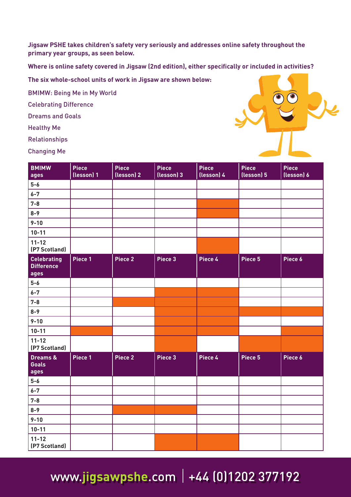**Jigsaw PSHE takes children's safety very seriously and addresses online safety throughout the primary year groups, as seen below.**

**Where is online safety covered in Jigsaw (2nd edition), either specifically or included in activities?**

**The six whole-school units of work in Jigsaw are shown below:**

BMIMW: Being Me in My World

Celebrating Difference

Dreams and Goals

Healthy Me

Relationships

Changing Me



| <b>BMIMW</b><br>ages                            | <b>Piece</b><br>(lesson) 1 | <b>Piece</b><br>(lesson) 2 | <b>Piece</b><br>(lesson) 3 | Piece<br>(lesson) 4 | Piece<br>(lesson) 5 | Piece<br>(lesson) 6 |
|-------------------------------------------------|----------------------------|----------------------------|----------------------------|---------------------|---------------------|---------------------|
| $5-6$                                           |                            |                            |                            |                     |                     |                     |
| $6 - 7$                                         |                            |                            |                            |                     |                     |                     |
| $7 - 8$                                         |                            |                            |                            |                     |                     |                     |
| $8 - 9$                                         |                            |                            |                            |                     |                     |                     |
| $9 - 10$                                        |                            |                            |                            |                     |                     |                     |
| $10 - 11$                                       |                            |                            |                            |                     |                     |                     |
| $11 - 12$<br>(P7 Scotland)                      |                            |                            |                            |                     |                     |                     |
| <b>Celebrating</b><br><b>Difference</b><br>ages | Piece 1                    | Piece 2                    | Piece 3                    | Piece 4             | Piece 5             | Piece 6             |
| $5-6$                                           |                            |                            |                            |                     |                     |                     |
| $6 - 7$                                         |                            |                            |                            |                     |                     |                     |
| $7 - 8$                                         |                            |                            |                            |                     |                     |                     |
| $8 - 9$                                         |                            |                            |                            |                     |                     |                     |
| $9 - 10$                                        |                            |                            |                            |                     |                     |                     |
| $10 - 11$                                       |                            |                            |                            |                     |                     |                     |
| $11 - 12$<br>(P7 Scotland)                      |                            |                            |                            |                     |                     |                     |
| <b>Dreams &amp;</b><br><b>Goals</b><br>ages     | Piece 1                    | Piece 2                    | Piece 3                    | Piece 4             | Piece 5             | Piece 6             |
| $5-6$                                           |                            |                            |                            |                     |                     |                     |
| $6 - 7$                                         |                            |                            |                            |                     |                     |                     |
| $7 - 8$                                         |                            |                            |                            |                     |                     |                     |
| $8 - 9$                                         |                            |                            |                            |                     |                     |                     |
| $9 - 10$                                        |                            |                            |                            |                     |                     |                     |
| $10 - 11$                                       |                            |                            |                            |                     |                     |                     |
| $11 - 12$<br>(P7 Scotland)                      |                            |                            |                            |                     |                     |                     |

www.jigsawpshe.com | +44 (0)1202 377192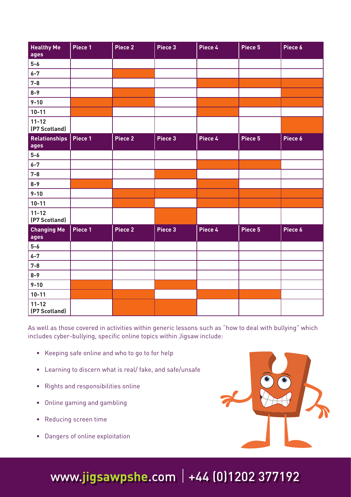| <b>Healthy Me</b><br>ages  | Piece 1 | Piece 2            | Piece 3 | Piece 4 | Piece 5 | Piece 6 |
|----------------------------|---------|--------------------|---------|---------|---------|---------|
| $5-6$                      |         |                    |         |         |         |         |
| $6 - 7$                    |         |                    |         |         |         |         |
| $7 - 8$                    |         |                    |         |         |         |         |
| $8 - 9$                    |         |                    |         |         |         |         |
| $9 - 10$                   |         |                    |         |         |         |         |
| $10 - 11$                  |         |                    |         |         |         |         |
| $11 - 12$<br>(P7 Scotland) |         |                    |         |         |         |         |
| Relationships  <br>ages    | Piece 1 | Piece <sub>2</sub> | Piece 3 | Piece 4 | Piece 5 | Piece 6 |
| $5-6$                      |         |                    |         |         |         |         |
| $6 - 7$                    |         |                    |         |         |         |         |
| $7 - 8$                    |         |                    |         |         |         |         |
| $8 - 9$                    |         |                    |         |         |         |         |
| $9 - 10$                   |         |                    |         |         |         |         |
| $10 - 11$                  |         |                    |         |         |         |         |
| $11 - 12$<br>(P7 Scotland) |         |                    |         |         |         |         |
| <b>Changing Me</b><br>ages | Piece 1 | Piece <sub>2</sub> | Piece 3 | Piece 4 | Piece 5 | Piece 6 |
| $5-6$                      |         |                    |         |         |         |         |
| $6 - 7$                    |         |                    |         |         |         |         |
| $7 - 8$                    |         |                    |         |         |         |         |
| $8 - 9$                    |         |                    |         |         |         |         |
| $9 - 10$                   |         |                    |         |         |         |         |
| $10 - 11$                  |         |                    |         |         |         |         |
| $11 - 12$<br>(P7 Scotland) |         |                    |         |         |         |         |

As well as those covered in activities within generic lessons such as "how to deal with bullying" which includes cyber-bullying, specific online topics within Jigsaw include:

- Keeping safe online and who to go to for help
- Learning to discern what is real/ fake, and safe/unsafe
- Rights and responsibilities online
- Online gaming and gambling
- Reducing screen time
- Dangers of online exploitation



# www.**jigsawpshe**.com +44 (0)1202 377192